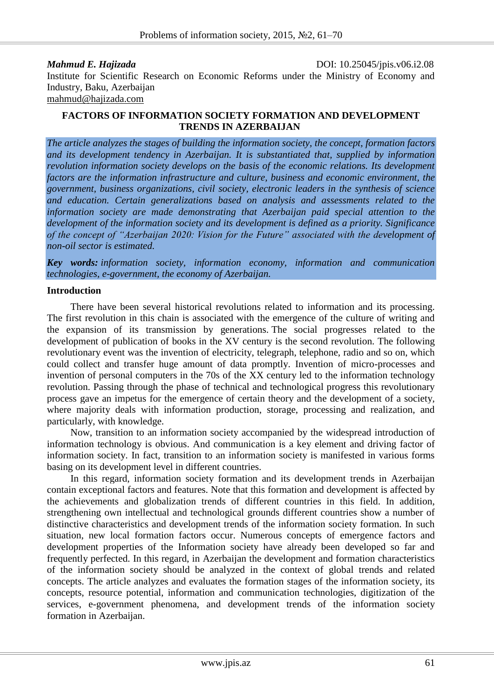*Mahmud E. Hajizada* DOI: 10.25045/jpis.v06.i2.08 Institute for Scientific Research on Economic Reforms under the Ministry of Economy and Industry, Baku, Azerbaijan [mahmud@hajizada.com](https://e.mail.ru/compose/?mailto=mailto%3ahme912@gmail.com)

### **FACTORS OF INFORMATION SOCIETY FORMATION AND DEVELOPMENT TRENDS IN AZERBAIJAN**

*The article analyzes the stages of building the information society, the concept, formation factors and its development tendency in Azerbaijan. It is substantiated that, supplied by information revolution information society develops on the basis of the economic relations. Its development factors are the information infrastructure and culture, business and economic environment, the government, business organizations, civil society, electronic leaders in the synthesis of science and education. Certain generalizations based on analysis and assessments related to the information society are made demonstrating that Azerbaijan paid special attention to the development of the information society and its development is defined as a priority. Significance of the concept of "Azerbaijan 2020: Vision for the Future" associated with the development of non-oil sector is estimated.*

*Key words: information society, information economy, information and communication technologies, e-government, the economy of Azerbaijan.*

#### **Introduction**

There have been several historical revolutions related to information and its processing. The first revolution in this chain is associated with the emergence of the culture of writing and the expansion of its transmission by generations. The social progresses related to the development of publication of books in the XV century is the second revolution. The following revolutionary event was the invention of electricity, telegraph, telephone, radio and so on, which could collect and transfer huge amount of data promptly. Invention of micro-processes and invention of personal computers in the 70s of the XX century led to the information technology revolution. Passing through the phase of technical and technological progress this revolutionary process gave an impetus for the emergence of certain theory and the development of a society, where majority deals with information production, storage, processing and realization, and particularly, with knowledge.

Now, transition to an information society accompanied by the widespread introduction of information technology is obvious. And communication is a key element and driving factor of information society. In fact, transition to an information society is manifested in various forms basing on its development level in different countries.

In this regard, information society formation and its development trends in Azerbaijan contain exceptional factors and features. Note that this formation and development is affected by the achievements and globalization trends of different countries in this field. In addition, strengthening own intellectual and technological grounds different countries show a number of distinctive characteristics and development trends of the information society formation. In such situation, new local formation factors occur. Numerous concepts of emergence factors and development properties of the Information society have already been developed so far and frequently perfected. In this regard, in Azerbaijan the development and formation characteristics of the information society should be analyzed in the context of global trends and related concepts. The article analyzes and evaluates the formation stages of the information society, its concepts, resource potential, information and communication technologies, digitization of the services, e-government phenomena, and development trends of the information society formation in Azerbaijan.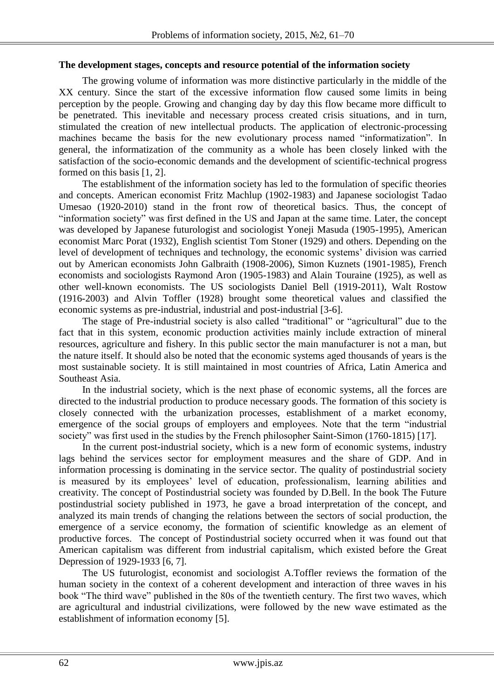### **The development stages, concepts and resource potential of the information society**

The growing volume of information was more distinctive particularly in the middle of the XX century. Since the start of the excessive information flow caused some limits in being perception by the people. Growing and changing day by day this flow became more difficult to be penetrated. This inevitable and necessary process created crisis situations, and in turn, stimulated the creation of new intellectual products. The application of electronic-processing machines became the basis for the new evolutionary process named "informatization". In general, the informatization of the community as a whole has been closely linked with the satisfaction of the socio-economic demands and the development of scientific-technical progress formed on this basis [1, 2].

The establishment of the information society has led to the formulation of specific theories and concepts. American economist Fritz Machlup (1902-1983) and Japanese sociologist Tadao Umesao (1920-2010) stand in the front row of theoretical basics. Thus, the concept of "information society" was first defined in the US and Japan at the same time. Later, the concept was developed by Japanese futurologist and sociologist Yoneji Masuda (1905-1995), American economist Marc Porat (1932), English scientist Tom Stoner (1929) and others. Depending on the level of development of techniques and technology, the economic systems' division was carried out by American economists John Galbraith (1908-2006), Simon Kuznets (1901-1985), French economists and sociologists Raymond Aron (1905-1983) and Alain Touraine (1925), as well as other well-known economists. The US sociologists Daniel Bell (1919-2011), Walt Rostow (1916-2003) and Alvin Toffler (1928) brought some theoretical values and classified the economic systems as pre-industrial, industrial and post-industrial [3-6].

The stage of Pre-industrial society is also called "traditional" or "agricultural" due to the fact that in this system, economic production activities mainly include extraction of mineral resources, agriculture and fishery. In this public sector the main manufacturer is not a man, but the nature itself. It should also be noted that the economic systems aged thousands of years is the most sustainable society. It is still maintained in most countries of Africa, Latin America and Southeast Asia.

In the industrial society, which is the next phase of economic systems, all the forces are directed to the industrial production to produce necessary goods. The formation of this society is closely connected with the urbanization processes, establishment of a market economy, emergence of the social groups of employers and employees. Note that the term "industrial society" was first used in the studies by the French philosopher Saint-Simon (1760-1815) [17].

In the current post-industrial society, which is a new form of economic systems, industry lags behind the services sector for employment measures and the share of GDP. And in information processing is dominating in the service sector. The quality of postindustrial society is measured by its employees' level of education, professionalism, learning abilities and creativity. The concept of Postindustrial society was founded by D.Bell. In the book The Future postindustrial society published in 1973, he gave a broad interpretation of the concept, and analyzed its main trends of changing the relations between the sectors of social production, the emergence of a service economy, the formation of scientific knowledge as an element of productive forces. The concept of Postindustrial society occurred when it was found out that American capitalism was different from industrial capitalism, which existed before the Great Depression of 1929-1933 [6, 7].

The US futurologist, economist and sociologist A.Toffler reviews the formation of the human society in the context of a coherent development and interaction of three waves in his book "The third wave" published in the 80s of the twentieth century. The first two waves, which are agricultural and industrial civilizations, were followed by the new wave estimated as the establishment of information economy [5].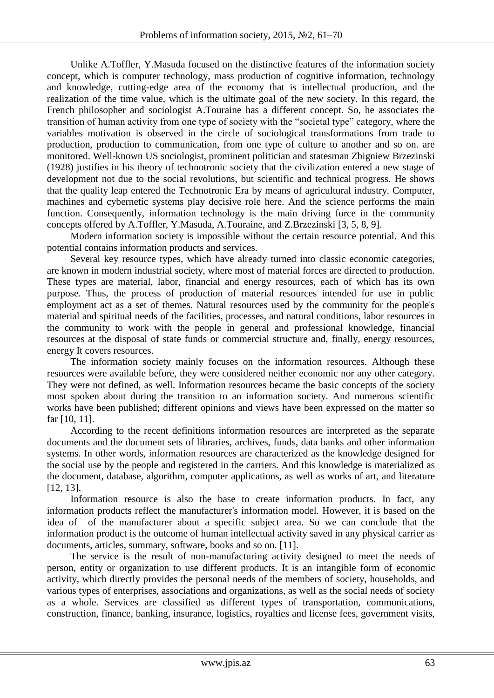Unlike A.Toffler, Y.Masuda focused on the distinctive features of the information society concept, which is computer technology, mass production of cognitive information, technology and knowledge, cutting-edge area of the economy that is intellectual production, and the realization of the time value, which is the ultimate goal of the new society. In this regard, the French philosopher and sociologist A.Touraine has a different concept. So, he associates the transition of human activity from one type of society with the "societal type" category, where the variables motivation is observed in the circle of sociological transformations from trade to production, production to communication, from one type of culture to another and so on. are monitored. Well-known US sociologist, prominent politician and statesman Zbigniew Brzezinski (1928) justifies in his theory of technotronic society that the civilization entered a new stage of development not due to the social revolutions, but scientific and technical progress. He shows that the quality leap entered the Technotronic Era by means of agricultural industry. Computer, machines and cybernetic systems play decisive role here. And the science performs the main function. Consequently, information technology is the main driving force in the community concepts offered by A.Toffler, Y.Masuda, A.Touraine, and Z.Brzezinski [3, 5, 8, 9].

Modern information society is impossible without the certain resource potential. And this potential contains information products and services.

Several key resource types, which have already turned into classic economic categories, are known in modern industrial society, where most of material forces are directed to production. These types are material, labor, financial and energy resources, each of which has its own purpose. Thus, the process of production of material resources intended for use in public employment act as a set of themes. Natural resources used by the community for the people's material and spiritual needs of the facilities, processes, and natural conditions, labor resources in the community to work with the people in general and professional knowledge, financial resources at the disposal of state funds or commercial structure and, finally, energy resources, energy It covers resources.

The information society mainly focuses on the information resources. Although these resources were available before, they were considered neither economic nor any other category. They were not defined, as well. Information resources became the basic concepts of the society most spoken about during the transition to an information society. And numerous scientific works have been published; different opinions and views have been expressed on the matter so far [10, 11].

According to the recent definitions information resources are interpreted as the separate documents and the document sets of libraries, archives, funds, data banks and other information systems. In other words, information resources are characterized as the knowledge designed for the social use by the people and registered in the carriers. And this knowledge is materialized as the document, database, algorithm, computer applications, as well as works of art, and literature [12, 13].

Information resource is also the base to create information products. In fact, any information products reflect the manufacturer's information model. However, it is based on the idea of of the manufacturer about a specific subject area. So we can conclude that the information product is the outcome of human intellectual activity saved in any physical carrier as documents, articles, summary, software, books and so on. [11].

The service is the result of non-manufacturing activity designed to meet the needs of person, entity or organization to use different products. It is an intangible form of economic activity, which directly provides the personal needs of the members of society, households, and various types of enterprises, associations and organizations, as well as the social needs of society as a whole. Services are classified as different types of transportation, communications, construction, finance, banking, insurance, logistics, royalties and license fees, government visits,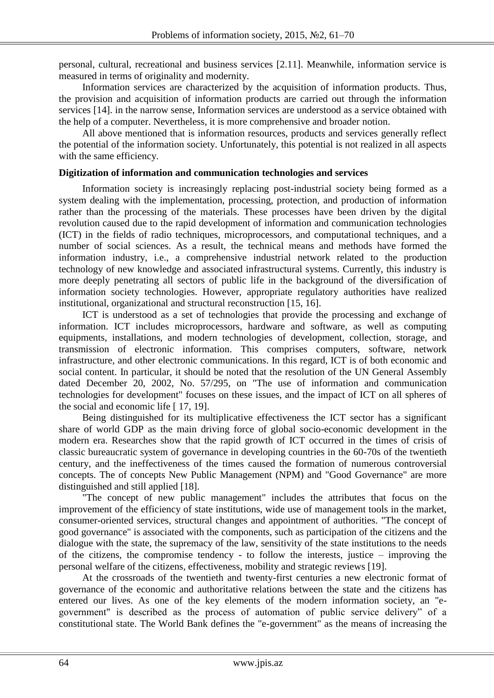personal, cultural, recreational and business services [2.11]. Meanwhile, information service is measured in terms of originality and modernity.

Information services are characterized by the acquisition of information products. Thus, the provision and acquisition of information products are carried out through the information services [14]. in the narrow sense, Information services are understood as a service obtained with the help of a computer. Nevertheless, it is more comprehensive and broader notion.

All above mentioned that is information resources, products and services generally reflect the potential of the information society. Unfortunately, this potential is not realized in all aspects with the same efficiency.

## **Digitization of information and communication technologies and services**

Information society is increasingly replacing post-industrial society being formed as a system dealing with the implementation, processing, protection, and production of information rather than the processing of the materials. These processes have been driven by the digital revolution caused due to the rapid development of information and communication technologies (ICT) in the fields of radio techniques, microprocessors, and computational techniques, and a number of social sciences. As a result, the technical means and methods have formed the information industry, i.e., a comprehensive industrial network related to the production technology of new knowledge and associated infrastructural systems. Currently, this industry is more deeply penetrating all sectors of public life in the background of the diversification of information society technologies. However, appropriate regulatory authorities have realized institutional, organizational and structural reconstruction [15, 16].

ICT is understood as a set of technologies that provide the processing and exchange of information. ICT includes microprocessors, hardware and software, as well as computing equipments, installations, and modern technologies of development, collection, storage, and transmission of electronic information. This comprises computers, software, network infrastructure, and other electronic communications. In this regard, ICT is of both economic and social content. In particular, it should be noted that the resolution of the UN General Assembly dated December 20, 2002, No. 57/295, on "The use of information and communication technologies for development" focuses on these issues, and the impact of ICT on all spheres of the social and economic life [ 17, 19].

Being distinguished for its multiplicative effectiveness the ICT sector has a significant share of world GDP as the main driving force of global socio-economic development in the modern era. Researches show that the rapid growth of ICT occurred in the times of crisis of classic bureaucratic system of governance in developing countries in the 60-70s of the twentieth century, and the ineffectiveness of the times caused the formation of numerous controversial concepts. The of concepts New Public Management (NPM) and "Good Governance" are more distinguished and still applied [18].

"The concept of new public management" includes the attributes that focus on the improvement of the efficiency of state institutions, wide use of management tools in the market, consumer-oriented services, structural changes and appointment of authorities. "The concept of good governance" is associated with the components, such as participation of the citizens and the dialogue with the state, the supremacy of the law, sensitivity of the state institutions to the needs of the citizens, the compromise tendency - to follow the interests, justice – improving the personal welfare of the citizens, effectiveness, mobility and strategic reviews [19].

At the crossroads of the twentieth and twenty-first centuries a new electronic format of governance of the economic and authoritative relations between the state and the citizens has entered our lives. As one of the key elements of the modern information society, an "egovernment" is described as the process of automation of public service delivery" of a constitutional state. The World Bank defines the "e-government" as the means of increasing the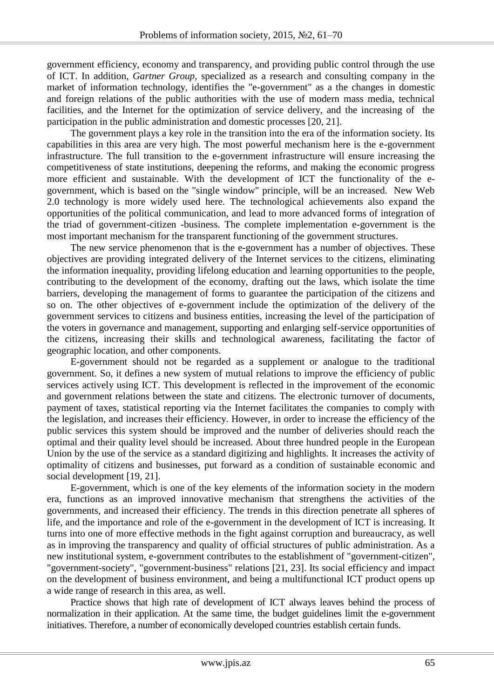government efficiency, economy and transparency, and providing public control through the use of ICT. In addition, *Gartner Group*, specialized as a research and consulting company in the market of information technology, identifies the "e-government" as a the changes in domestic and foreign relations of the public authorities with the use of modern mass media, technical facilities, and the Internet for the optimization of service delivery, and the increasing of the participation in the public administration and domestic processes [20, 21].

The government plays a key role in the transition into the era of the information society. Its capabilities in this area are very high. The most powerful mechanism here is the e-government infrastructure. The full transition to the e-government infrastructure will ensure increasing the competitiveness of state institutions, deepening the reforms, and making the economic progress more efficient and sustainable. With the development of ICT the functionality of the egovernment, which is based on the "single window" principle, will be an increased. New Web 2.0 technology is more widely used here. The technological achievements also expand the opportunities of the political communication, and lead to more advanced forms of integration of the triad of government-citizen -business. The complete implementation e-government is the most important mechanism for the transparent functioning of the government structures.

The new service phenomenon that is the e-government has a number of objectives. These objectives are providing integrated delivery of the Internet services to the citizens, eliminating the information inequality, providing lifelong education and learning opportunities to the people, contributing to the development of the economy, drafting out the laws, which isolate the time barriers, developing the management of forms to guarantee the participation of the citizens and so on. The other objectives of e-government include the optimization of the delivery of the government services to citizens and business entities, increasing the level of the participation of the voters in governance and management, supporting and enlarging self-service opportunities of the citizens, increasing their skills and technological awareness, facilitating the factor of geographic location, and other components.

E-government should not be regarded as a supplement or analogue to the traditional government. So, it defines a new system of mutual relations to improve the efficiency of public services actively using ICT. This development is reflected in the improvement of the economic and government relations between the state and citizens. The electronic turnover of documents, payment of taxes, statistical reporting via the Internet facilitates the companies to comply with the legislation, and increases their efficiency. However, in order to increase the efficiency of the public services this system should be improved and the number of deliveries should reach the optimal and their quality level should be increased. About three hundred people in the European Union by the use of the service as a standard digitizing and highlights. It increases the activity of optimality of citizens and businesses, put forward as a condition of sustainable economic and social development [19, 21].

E-government, which is one of the key elements of the information society in the modern era, functions as an improved innovative mechanism that strengthens the activities of the governments, and increased their efficiency. The trends in this direction penetrate all spheres of life, and the importance and role of the e-government in the development of ICT is increasing. It turns into one of more effective methods in the fight against corruption and bureaucracy, as well as in improving the transparency and quality of official structures of public administration. As a new institutional system, e-government contributes to the establishment of "government-citizen", "government-society", "government-business" relations [21, 23]. Its social efficiency and impact on the development of business environment, and being a multifunctional ICT product opens up a wide range of research in this area, as well.

Practice shows that high rate of development of ICT always leaves behind the process of normalization in their application. At the same time, the budget guidelines limit the e-government initiatives. Therefore, a number of economically developed countries establish certain funds.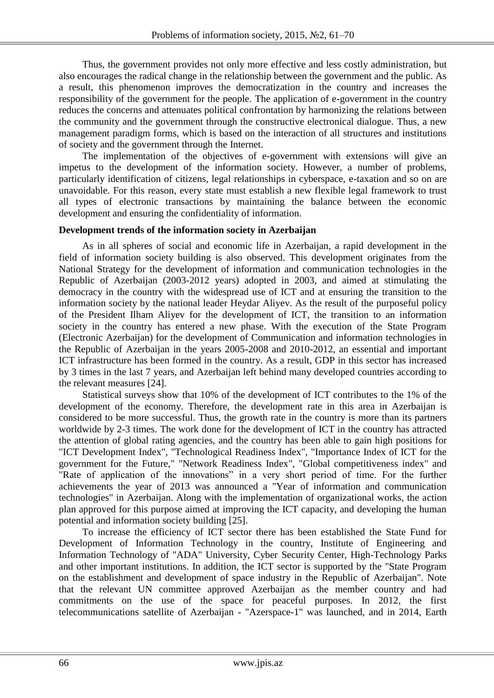Thus, the government provides not only more effective and less costly administration, but also encourages the radical change in the relationship between the government and the public. As a result, this phenomenon improves the democratization in the country and increases the responsibility of the government for the people. The application of e-government in the country reduces the concerns and attenuates political confrontation by harmonizing the relations between the community and the government through the constructive electronical dialogue. Thus, a new management paradigm forms, which is based on the interaction of all structures and institutions of society and the government through the Internet.

The implementation of the objectives of e-government with extensions will give an impetus to the development of the information society. However, a number of problems, particularly identification of citizens, legal relationships in cyberspace, e-taxation and so on are unavoidable. For this reason, every state must establish a new flexible legal framework to trust all types of electronic transactions by maintaining the balance between the economic development and ensuring the confidentiality of information.

## **Development trends of the information society in Azerbaijan**

As in all spheres of social and economic life in Azerbaijan, a rapid development in the field of information society building is also observed. This development originates from the National Strategy for the development of information and communication technologies in the Republic of Azerbaijan (2003-2012 years) adopted in 2003, and aimed at stimulating the democracy in the country with the widespread use of ICT and at ensuring the transition to the information society by the national leader Heydar Aliyev. As the result of the purposeful policy of the President Ilham Aliyev for the development of ICT, the transition to an information society in the country has entered a new phase. With the execution of the State Program (Electronic Azerbaijan) for the development of Communication and information technologies in the Republic of Azerbaijan in the years 2005-2008 and 2010-2012, an essential and important ICT infrastructure has been formed in the country. As a result, GDP in this sector has increased by 3 times in the last 7 years, and Azerbaijan left behind many developed countries according to the relevant measures [24].

Statistical surveys show that 10% of the development of ICT contributes to the 1% of the development of the economy. Therefore, the development rate in this area in Azerbaijan is considered to be more successful. Thus, the growth rate in the country is more than its partners worldwide by 2-3 times. The work done for the development of ICT in the country has attracted the attention of global rating agencies, and the country has been able to gain high positions for "ICT Development Index", "Technological Readiness Index", "Importance Index of ICT for the government for the Future," "Network Readiness Index", "Global competitiveness index" and "Rate of application of the innovations" in a very short period of time. For the further achievements the year of 2013 was announced a "Year of information and communication technologies" in Azerbaijan. Along with the implementation of organizational works, the action plan approved for this purpose aimed at improving the ICT capacity, and developing the human potential and information society building [25].

To increase the efficiency of ICT sector there has been established the State Fund for Development of Information Technology in the country, Institute of Engineering and Information Technology of "ADA" University, Cyber Security Center, High-Technology Parks and other important institutions. In addition, the ICT sector is supported by the "State Program on the establishment and development of space industry in the Republic of Azerbaijan". Note that the relevant UN committee approved Azerbaijan as the member country and had commitments on the use of the space for peaceful purposes. In 2012, the first telecommunications satellite of Azerbaijan - "Azerspace-1" was launched, and in 2014, Earth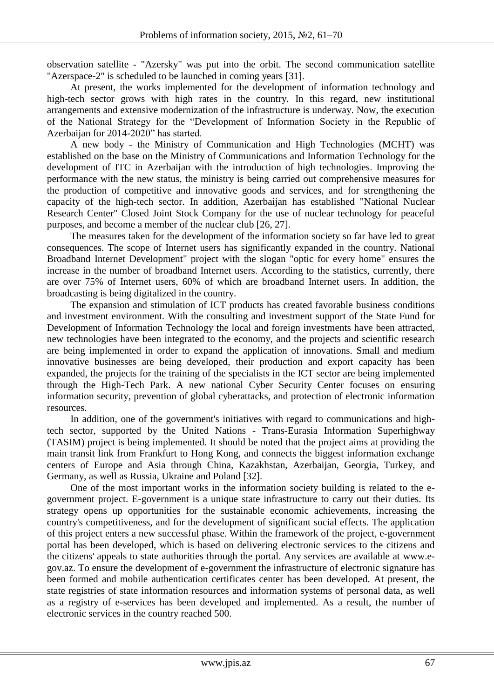observation satellite - "Azersky" was put into the orbit. The second communication satellite "Azerspace-2" is scheduled to be launched in coming years [31].

At present, the works implemented for the development of information technology and high-tech sector grows with high rates in the country. In this regard, new institutional arrangements and extensive modernization of the infrastructure is underway. Now, the execution of the National Strategy for the "Development of Information Society in the Republic of Azerbaijan for 2014-2020" has started.

A new body - the Ministry of Communication and High Technologies (MCHT) was established on the base on the Ministry of Communications and Information Technology for the development of ITC in Azerbaijan with the introduction of high technologies. Improving the performance with the new status, the ministry is being carried out comprehensive measures for the production of competitive and innovative goods and services, and for strengthening the capacity of the high-tech sector. In addition, Azerbaijan has established "National Nuclear Research Center" Closed Joint Stock Company for the use of nuclear technology for peaceful purposes, and become a member of the nuclear club [26, 27].

The measures taken for the development of the information society so far have led to great consequences. The scope of Internet users has significantly expanded in the country. National Broadband Internet Development" project with the slogan "optic for every home" ensures the increase in the number of broadband Internet users. According to the statistics, currently, there are over 75% of Internet users, 60% of which are broadband Internet users. In addition, the broadcasting is being digitalized in the country.

The expansion and stimulation of ICT products has created favorable business conditions and investment environment. With the consulting and investment support of the State Fund for Development of Information Technology the local and foreign investments have been attracted, new technologies have been integrated to the economy, and the projects and scientific research are being implemented in order to expand the application of innovations. Small and medium innovative businesses are being developed, their production and export capacity has been expanded, the projects for the training of the specialists in the ICT sector are being implemented through the High-Tech Park. A new national Cyber Security Center focuses on ensuring information security, prevention of global cyberattacks, and protection of electronic information resources.

In addition, one of the government's initiatives with regard to communications and hightech sector, supported by the United Nations - Trans-Eurasia Information Superhighway (TASIM) project is being implemented. It should be noted that the project aims at providing the main transit link from Frankfurt to Hong Kong, and connects the biggest information exchange centers of Europe and Asia through China, Kazakhstan, Azerbaijan, Georgia, Turkey, and Germany, as well as Russia, Ukraine and Poland [32].

One of the most important works in the information society building is related to the egovernment project. E-government is a unique state infrastructure to carry out their duties. Its strategy opens up opportunities for the sustainable economic achievements, increasing the country's competitiveness, and for the development of significant social effects. The application of this project enters a new successful phase. Within the framework of the project, e-government portal has been developed, which is based on delivering electronic services to the citizens and the citizens' appeals to state authorities through the portal. Any services are available at www.egov.az. To ensure the development of e-government the infrastructure of electronic signature has been formed and mobile authentication certificates center has been developed. At present, the state registries of state information resources and information systems of personal data, as well as a registry of e-services has been developed and implemented. As a result, the number of electronic services in the country reached 500.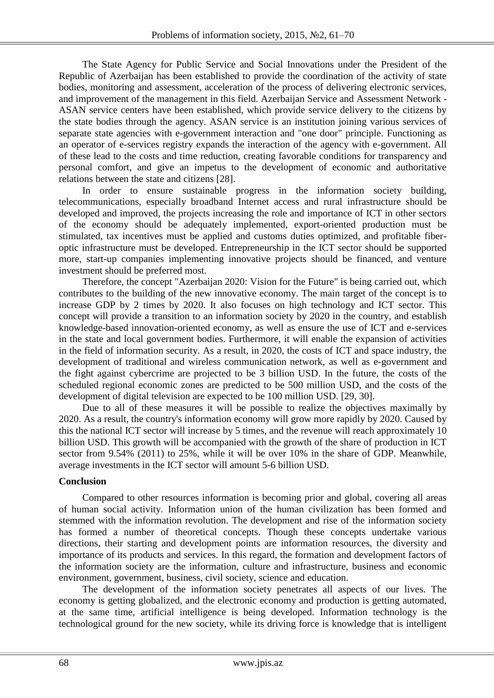The State Agency for Public Service and Social Innovations under the President of the Republic of Azerbaijan has been established to provide the coordination of the activity of state bodies, monitoring and assessment, acceleration of the process of delivering electronic services, and improvement of the management in this field. Azerbaijan Service and Assessment Network - ASAN service centers have been established, which provide service delivery to the citizens by the state bodies through the agency. ASAN service is an institution joining various services of separate state agencies with e-government interaction and "one door" principle. Functioning as an operator of e-services registry expands the interaction of the agency with e-government. All of these lead to the costs and time reduction, creating favorable conditions for transparency and personal comfort, and give an impetus to the development of economic and authoritative relations between the state and citizens [28].

In order to ensure sustainable progress in the information society building, telecommunications, especially broadband Internet access and rural infrastructure should be developed and improved, the projects increasing the role and importance of ICT in other sectors of the economy should be adequately implemented, export-oriented production must be stimulated, tax incentives must be applied and customs duties optimized, and profitable fiberoptic infrastructure must be developed. Entrepreneurship in the ICT sector should be supported more, start-up companies implementing innovative projects should be financed, and venture investment should be preferred most.

Therefore, the concept "Azerbaijan 2020: Vision for the Future" is being carried out, which contributes to the building of the new innovative economy. The main target of the concept is to increase GDP by 2 times by 2020. It also focuses on high technology and ICT sector. This concept will provide a transition to an information society by 2020 in the country, and establish knowledge-based innovation-oriented economy, as well as ensure the use of ICT and e-services in the state and local government bodies. Furthermore, it will enable the expansion of activities in the field of information security. As a result, in 2020, the costs of ICT and space industry, the development of traditional and wireless communication network, as well as e-government and the fight against cybercrime are projected to be 3 billion USD. In the future, the costs of the scheduled regional economic zones are predicted to be 500 million USD, and the costs of the development of digital television are expected to be 100 million USD. [29, 30].

Due to all of these measures it will be possible to realize the objectives maximally by 2020. As a result, the country's information economy will grow more rapidly by 2020. Caused by this the national ICT sector will increase by 5 times, and the revenue will reach approximately 10 billion USD. This growth will be accompanied with the growth of the share of production in ICT sector from 9.54% (2011) to 25%, while it will be over 10% in the share of GDP. Meanwhile, average investments in the ICT sector will amount 5-6 billion USD.

## **Conclusion**

Compared to other resources information is becoming prior and global, covering all areas of human social activity. Information union of the human civilization has been formed and stemmed with the information revolution. The development and rise of the information society has formed a number of theoretical concepts. Though these concepts undertake various directions, their starting and development points are information resources, the diversity and importance of its products and services. In this regard, the formation and development factors of the information society are the information, culture and infrastructure, business and economic environment, government, business, civil society, science and education.

The development of the information society penetrates all aspects of our lives. The economy is getting globalized, and the electronic economy and production is getting automated, at the same time, artificial intelligence is being developed. Information technology is the technological ground for the new society, while its driving force is knowledge that is intelligent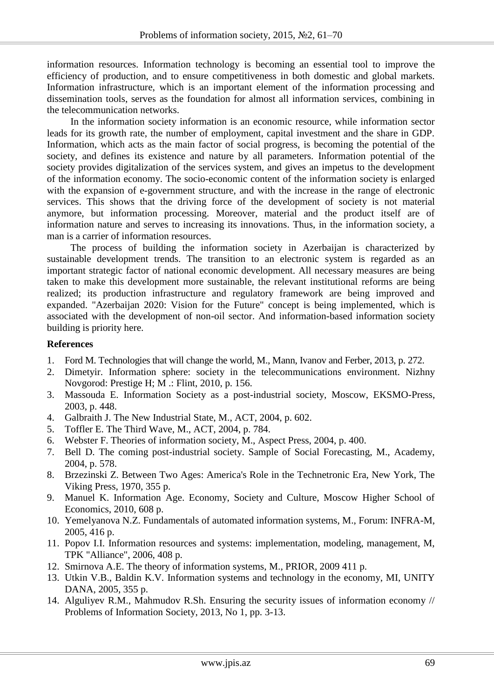information resources. Information technology is becoming an essential tool to improve the efficiency of production, and to ensure competitiveness in both domestic and global markets. Information infrastructure, which is an important element of the information processing and dissemination tools, serves as the foundation for almost all information services, combining in the telecommunication networks.

In the information society information is an economic resource, while information sector leads for its growth rate, the number of employment, capital investment and the share in GDP. Information, which acts as the main factor of social progress, is becoming the potential of the society, and defines its existence and nature by all parameters. Information potential of the society provides digitalization of the services system, and gives an impetus to the development of the information economy. The socio-economic content of the information society is enlarged with the expansion of e-government structure, and with the increase in the range of electronic services. This shows that the driving force of the development of society is not material anymore, but information processing. Moreover, material and the product itself are of information nature and serves to increasing its innovations. Thus, in the information society, a man is a carrier of information resources.

The process of building the information society in Azerbaijan is characterized by sustainable development trends. The transition to an electronic system is regarded as an important strategic factor of national economic development. All necessary measures are being taken to make this development more sustainable, the relevant institutional reforms are being realized; its production infrastructure and regulatory framework are being improved and expanded. "Azerbaijan 2020: Vision for the Future" concept is being implemented, which is associated with the development of non-oil sector. And information-based information society building is priority here.

# **References**

- 1. Ford M. Technologies that will change the world, M., Mann, Ivanov and Ferber, 2013, p. 272.
- 2. Dimetyir. Information sphere: society in the telecommunications environment. Nizhny Novgorod: Prestige H; M .: Flint, 2010, p. 156.
- 3. Massouda E. Information Society as a post-industrial society, Moscow, EKSMO-Press, 2003, p. 448.
- 4. Galbraith J. The New Industrial State, M., ACT, 2004, p. 602.
- 5. Toffler E. The Third Wave, M., ACT, 2004, p. 784.
- 6. Webster F. Theories of information society, M., Aspect Press, 2004, p. 400.
- 7. Bell D. The coming post-industrial society. Sample of Social Forecasting, M., Academy, 2004, p. 578.
- 8. Brzezinski Z. Between Two Ages: America's Role in the Technetronic Era, New York, The Viking Press, 1970, 355 p.
- 9. Manuel K. Information Age. Economy, Society and Culture, Moscow Higher School of Economics, 2010, 608 p.
- 10. Yemelyanova N.Z. Fundamentals of automated information systems, M., Forum: INFRA-M, 2005, 416 p.
- 11. Popov I.I. Information resources and systems: implementation, modeling, management, M, TPK "Alliance", 2006, 408 p.
- 12. Smirnova A.E. The theory of information systems, M., PRIOR, 2009 411 p.
- 13. Utkin V.B., Baldin K.V. Information systems and technology in the economy, MI, UNITY DANA, 2005, 355 p.
- 14. Alguliyev R.M., Mahmudov R.Sh. Ensuring the security issues of information economy // Problems of Information Society, 2013, No 1, pp. 3-13.